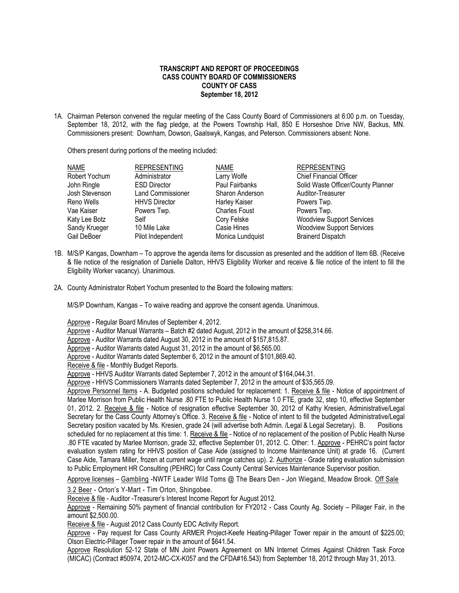## **TRANSCRIPT AND REPORT OF PROCEEDINGS CASS COUNTY BOARD OF COMMISSIONERS COUNTY OF CASS September 18, 2012**

1A. Chairman Peterson convened the regular meeting of the Cass County Board of Commissioners at 6:00 p.m. on Tuesday, September 18, 2012, with the flag pledge, at the Powers Township Hall, 850 E Horseshoe Drive NW, Backus, MN. Commissioners present: Downham, Dowson, Gaalswyk, Kangas, and Peterson. Commissioners absent: None.

Others present during portions of the meeting included:

| NAME           | <b>REPRESENTING</b>      | <b>NAME</b>          | <b>REPRESENTING</b>                |
|----------------|--------------------------|----------------------|------------------------------------|
| Robert Yochum  | Administrator            | Larry Wolfe          | <b>Chief Financial Officer</b>     |
| John Ringle    | <b>ESD Director</b>      | Paul Fairbanks       | Solid Waste Officer/County Planner |
| Josh Stevenson | <b>Land Commissioner</b> | Sharon Anderson      | Auditor-Treasurer                  |
| Reno Wells     | <b>HHVS Director</b>     | Harley Kaiser        | Powers Twp.                        |
| Vae Kaiser     | Powers Twp.              | <b>Charles Foust</b> | Powers Twp.                        |
| Katy Lee Botz  | Self                     | Cory Felske          | <b>Woodview Support Services</b>   |
| Sandy Krueger  | 10 Mile Lake             | Casie Hines          | <b>Woodview Support Services</b>   |
| Gail DeBoer    | Pilot Independent        | Monica Lundquist     | <b>Brainerd Dispatch</b>           |

- 1B. M/S/P Kangas, Downham To approve the agenda items for discussion as presented and the addition of Item 6B. (Receive & file notice of the resignation of Danielle Dalton, HHVS Eligibility Worker and receive & file notice of the intent to fill the Eligibility Worker vacancy). Unanimous.
- 2A. County Administrator Robert Yochum presented to the Board the following matters:

M/S/P Downham, Kangas – To waive reading and approve the consent agenda. Unanimous.

Approve - Regular Board Minutes of September 4, 2012.

Approve - Auditor Manual Warrants – Batch #2 dated August, 2012 in the amount of \$258,314.66.

Approve - Auditor Warrants dated August 30, 2012 in the amount of \$157,815.87.

- Approve Auditor Warrants dated August 31, 2012 in the amount of \$6,565.00.
- Approve Auditor Warrants dated September 6, 2012 in the amount of \$101,869.40.
- Receive & file Monthly Budget Reports.

Approve - HHVS Auditor Warrants dated September 7, 2012 in the amount of \$164,044.31.

Approve - HHVS Commissioners Warrants dated September 7, 2012 in the amount of \$35,565.09.

Approve Personnel Items - A. Budgeted positions scheduled for replacement: 1. Receive & file - Notice of appointment of Marlee Morrison from Public Health Nurse .80 FTE to Public Health Nurse 1.0 FTE, grade 32, step 10, effective September 01, 2012. 2. Receive & file - Notice of resignation effective September 30, 2012 of Kathy Kresien, Administrative/Legal Secretary for the Cass County Attorney's Office. 3. Receive & file - Notice of intent to fill the budgeted Administrative/Legal Secretary position vacated by Ms. Kresien, grade 24 (will advertise both Admin. /Legal & Legal Secretary). B. Positions scheduled for no replacement at this time: 1. Receive & file - Notice of no replacement of the position of Public Health Nurse .80 FTE vacated by Marlee Morrison, grade 32, effective September 01, 2012. C. Other: 1. Approve - PEHRC's point factor evaluation system rating for HHVS position of Case Aide (assigned to Income Maintenance Unit) at grade 16. (Current Case Aide, Tamara Miller, frozen at current wage until range catches up). 2. Authorize - Grade rating evaluation submission to Public Employment HR Consulting (PEHRC) for Cass County Central Services Maintenance Supervisor position.

Approve licenses – Gambling -NWTF Leader Wild Toms @ The Bears Den - Jon Wiegand, Meadow Brook. Off Sale

3.2 Beer - Orton's Y-Mart - Tim Orton, Shingobee.

Receive & file - Auditor -Treasurer's Interest Income Report for August 2012.

Approve - Remaining 50% payment of financial contribution for FY2012 - Cass County Ag. Society – Pillager Fair, in the amount \$2,500.00.

Receive & file - August 2012 Cass County EDC Activity Report.

Approve - Pay request for Cass County ARMER Project-Keefe Heating-Pillager Tower repair in the amount of \$225.00; Olson Electric-Pillager Tower repair in the amount of \$641.54.

Approve Resolution 52-12 State of MN Joint Powers Agreement on MN Internet Crimes Against Children Task Force (MICAC) (Contract #50974, 2012-MC-CX-K057 and the CFDA#16.543) from September 18, 2012 through May 31, 2013.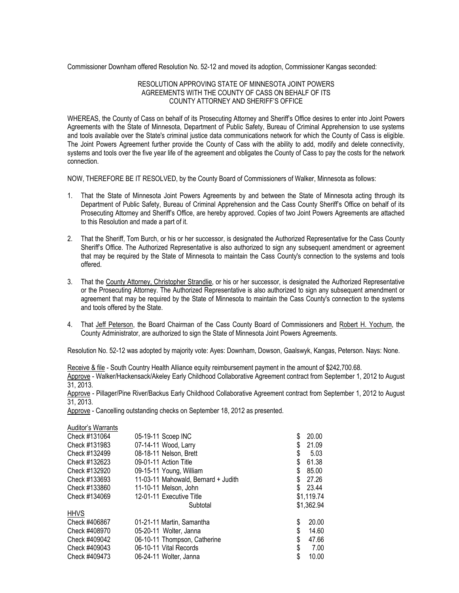Commissioner Downham offered Resolution No. 52-12 and moved its adoption, Commissioner Kangas seconded:

## RESOLUTION APPROVING STATE OF MINNESOTA JOINT POWERS AGREEMENTS WITH THE COUNTY OF CASS ON BEHALF OF ITS COUNTY ATTORNEY AND SHERIFF'S OFFICE

WHEREAS, the County of Cass on behalf of its Prosecuting Attorney and Sheriff's Office desires to enter into Joint Powers Agreements with the State of Minnesota, Department of Public Safety, Bureau of Criminal Apprehension to use systems and tools available over the State's criminal justice data communications network for which the County of Cass is eligible. The Joint Powers Agreement further provide the County of Cass with the ability to add, modify and delete connectivity, systems and tools over the five year life of the agreement and obligates the County of Cass to pay the costs for the network connection.

NOW, THEREFORE BE IT RESOLVED, by the County Board of Commissioners of Walker, Minnesota as follows:

- 1. That the State of Minnesota Joint Powers Agreements by and between the State of Minnesota acting through its Department of Public Safety, Bureau of Criminal Apprehension and the Cass County Sheriff's Office on behalf of its Prosecuting Attorney and Sheriff's Office, are hereby approved. Copies of two Joint Powers Agreements are attached to this Resolution and made a part of it.
- 2. That the Sheriff, Tom Burch, or his or her successor, is designated the Authorized Representative for the Cass County Sheriff's Office. The Authorized Representative is also authorized to sign any subsequent amendment or agreement that may be required by the State of Minnesota to maintain the Cass County's connection to the systems and tools offered.
- 3. That the County Attorney, Christopher Strandlie, or his or her successor, is designated the Authorized Representative or the Prosecuting Attorney. The Authorized Representative is also authorized to sign any subsequent amendment or agreement that may be required by the State of Minnesota to maintain the Cass County's connection to the systems and tools offered by the State.
- 4. That Jeff Peterson, the Board Chairman of the Cass County Board of Commissioners and Robert H. Yochum, the County Administrator, are authorized to sign the State of Minnesota Joint Powers Agreements.

Resolution No. 52-12 was adopted by majority vote: Ayes: Downham, Dowson, Gaalswyk, Kangas, Peterson. Nays: None.

Receive & file - South Country Health Alliance equity reimbursement payment in the amount of \$242,700.68.

Approve - Walker/Hackensack/Akeley Early Childhood Collaborative Agreement contract from September 1, 2012 to August 31, 2013.

Approve - Pillager/Pine River/Backus Early Childhood Collaborative Agreement contract from September 1, 2012 to August 31, 2013.

Approve - Cancelling outstanding checks on September 18, 2012 as presented.

## Auditor's Warrants

| Check #131064 | 05-19-11 Scoep INC                  | \$<br>20.00 |
|---------------|-------------------------------------|-------------|
| Check #131983 | 07-14-11 Wood, Larry                | \$<br>21.09 |
| Check #132499 | 08-18-11 Nelson, Brett              | \$<br>5.03  |
| Check #132623 | 09-01-11 Action Title               | \$<br>61.38 |
| Check #132920 | 09-15-11 Young, William             | \$<br>85.00 |
| Check #133693 | 11-03-11 Mahowald, Bernard + Judith | \$<br>27.26 |
| Check #133860 | 11-10-11 Melson, John               | \$<br>23.44 |
| Check #134069 | 12-01-11 Executive Title            | \$1,119.74  |
|               | Subtotal                            | \$1,362.94  |
| <b>HHVS</b>   |                                     |             |
| Check #406867 | 01-21-11 Martin, Samantha           | \$<br>20.00 |
| Check #408970 | 05-20-11 Wolter, Janna              | \$<br>14.60 |
| Check #409042 | 06-10-11 Thompson, Catherine        | \$<br>47.66 |
| Check #409043 | 06-10-11 Vital Records              | \$<br>7.00  |
| Check #409473 | 06-24-11 Wolter, Janna              | \$<br>10.00 |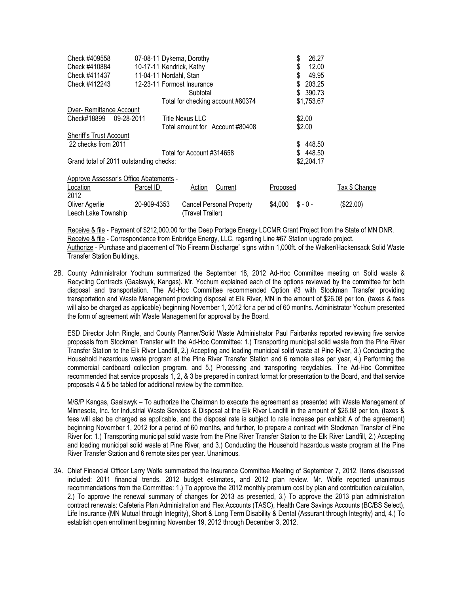| Check #409558                               |             | 07-08-11 Dykema, Dorothy          |                                 |          | 26.27      |               |
|---------------------------------------------|-------------|-----------------------------------|---------------------------------|----------|------------|---------------|
| Check #410884                               |             | 10-17-11 Kendrick, Kathy          |                                 |          | 12.00      |               |
| Check #411437                               |             | 11-04-11 Nordahl, Stan            |                                 |          | 49.95      |               |
| Check #412243<br>12-23-11 Formost Insurance |             |                                   |                                 | S        | 203.25     |               |
|                                             |             | Subtotal                          |                                 | \$       | 390.73     |               |
|                                             |             | Total for checking account #80374 |                                 |          | \$1,753.67 |               |
| Over-Remittance Account                     |             |                                   |                                 |          |            |               |
| Check#18899<br>09-28-2011                   |             | Title Nexus LLC                   |                                 |          | \$2.00     |               |
|                                             |             | Total amount for Account #80408   |                                 |          | \$2.00     |               |
| Sheriff's Trust Account                     |             |                                   |                                 |          |            |               |
| 22 checks from 2011                         |             |                                   |                                 |          | 448.50     |               |
|                                             |             | Total for Account #314658         |                                 |          | \$448.50   |               |
| Grand total of 2011 outstanding checks:     |             |                                   |                                 |          | \$2,204.17 |               |
|                                             |             |                                   |                                 |          |            |               |
| Approve Assessor's Office Abatements -      |             |                                   |                                 |          |            |               |
| Location                                    | Parcel ID   | Action                            | Current                         | Proposed |            | Tax \$ Change |
| 2012                                        |             |                                   |                                 |          |            |               |
| Oliver Agerlie                              | 20-909-4353 |                                   | <b>Cancel Personal Property</b> | \$4,000  | $$ -0 -$   | (\$22.00)     |
| Leech Lake Township                         |             | (Travel Trailer)                  |                                 |          |            |               |
|                                             |             |                                   |                                 |          |            |               |

Receive & file - Payment of \$212,000.00 for the Deep Portage Energy LCCMR Grant Project from the State of MN DNR. Receive & file - Correspondence from Enbridge Energy, LLC. regarding Line #67 Station upgrade project. Authorize - Purchase and placement of "No Firearm Discharge" signs within 1,000ft. of the Walker/Hackensack Solid Waste Transfer Station Buildings.

2B. County Administrator Yochum summarized the September 18, 2012 Ad-Hoc Committee meeting on Solid waste & Recycling Contracts (Gaalswyk, Kangas). Mr. Yochum explained each of the options reviewed by the committee for both disposal and transportation. The Ad-Hoc Committee recommended Option #3 with Stockman Transfer providing transportation and Waste Management providing disposal at Elk River, MN in the amount of \$26.08 per ton, (taxes & fees will also be charged as applicable) beginning November 1, 2012 for a period of 60 months. Administrator Yochum presented the form of agreement with Waste Management for approval by the Board.

ESD Director John Ringle, and County Planner/Solid Waste Administrator Paul Fairbanks reported reviewing five service proposals from Stockman Transfer with the Ad-Hoc Committee: 1.) Transporting municipal solid waste from the Pine River Transfer Station to the Elk River Landfill, 2.) Accepting and loading municipal solid waste at Pine River, 3.) Conducting the Household hazardous waste program at the Pine River Transfer Station and 6 remote sites per year, 4.) Performing the commercial cardboard collection program, and 5.) Processing and transporting recyclables. The Ad-Hoc Committee recommended that service proposals 1, 2, & 3 be prepared in contract format for presentation to the Board, and that service proposals 4 & 5 be tabled for additional review by the committee.

M/S/P Kangas, Gaalswyk – To authorize the Chairman to execute the agreement as presented with Waste Management of Minnesota, Inc. for Industrial Waste Services & Disposal at the Elk River Landfill in the amount of \$26.08 per ton, (taxes & fees will also be charged as applicable, and the disposal rate is subject to rate increase per exhibit A of the agreement) beginning November 1, 2012 for a period of 60 months, and further, to prepare a contract with Stockman Transfer of Pine River for: 1.) Transporting municipal solid waste from the Pine River Transfer Station to the Elk River Landfill, 2.) Accepting and loading municipal solid waste at Pine River, and 3.) Conducting the Household hazardous waste program at the Pine River Transfer Station and 6 remote sites per year. Unanimous.

3A. Chief Financial Officer Larry Wolfe summarized the Insurance Committee Meeting of September 7, 2012. Items discussed included: 2011 financial trends, 2012 budget estimates, and 2012 plan review. Mr. Wolfe reported unanimous recommendations from the Committee: 1.) To approve the 2012 monthly premium cost by plan and contribution calculation, 2.) To approve the renewal summary of changes for 2013 as presented, 3.) To approve the 2013 plan administration contract renewals: Cafeteria Plan Administration and Flex Accounts (TASC), Health Care Savings Accounts (BC/BS Select), Life Insurance (MN Mutual through Integrity), Short & Long Term Disability & Dental (Assurant through Integrity) and, 4.) To establish open enrollment beginning November 19, 2012 through December 3, 2012.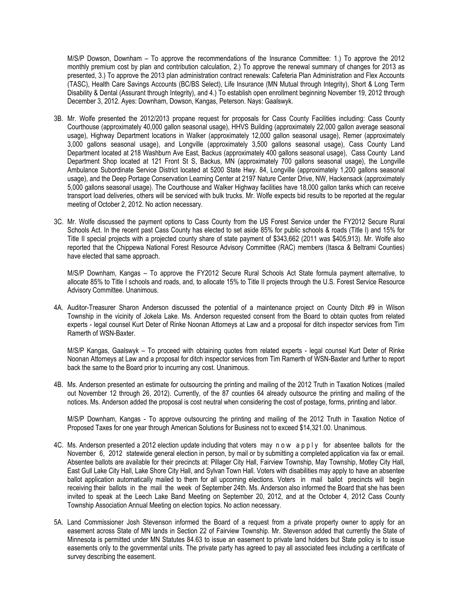M/S/P Dowson, Downham – To approve the recommendations of the Insurance Committee: 1.) To approve the 2012 monthly premium cost by plan and contribution calculation, 2.) To approve the renewal summary of changes for 2013 as presented, 3.) To approve the 2013 plan administration contract renewals: Cafeteria Plan Administration and Flex Accounts (TASC), Health Care Savings Accounts (BC/BS Select), Life Insurance (MN Mutual through Integrity), Short & Long Term Disability & Dental (Assurant through Integrity), and 4.) To establish open enrollment beginning November 19, 2012 through December 3, 2012. Ayes: Downham, Dowson, Kangas, Peterson. Nays: Gaalswyk.

- 3B. Mr. Wolfe presented the 2012/2013 propane request for proposals for Cass County Facilities including: Cass County Courthouse (approximately 40,000 gallon seasonal usage), HHVS Building (approximately 22,000 gallon average seasonal usage), Highway Department locations in Walker (approximately 12,000 gallon seasonal usage), Remer (approximately 3,000 gallons seasonal usage), and Longville (approximately 3,500 gallons seasonal usage), Cass County Land Department located at 218 Washburn Ave East, Backus (approximately 400 gallons seasonal usage), Cass County Land Department Shop located at 121 Front St S, Backus, MN (approximately 700 gallons seasonal usage), the Longville Ambulance Subordinate Service District located at 5200 State Hwy. 84, Longville (approximately 1,200 gallons seasonal usage), and the Deep Portage Conservation Learning Center at 2197 Nature Center Drive, NW, Hackensack (approximately 5,000 gallons seasonal usage). The Courthouse and Walker Highway facilities have 18,000 gallon tanks which can receive transport load deliveries, others will be serviced with bulk trucks. Mr. Wolfe expects bid results to be reported at the regular meeting of October 2, 2012. No action necessary.
- 3C. Mr. Wolfe discussed the payment options to Cass County from the US Forest Service under the FY2012 Secure Rural Schools Act. In the recent past Cass County has elected to set aside 85% for public schools & roads (Title I) and 15% for Title II special projects with a projected county share of state payment of \$343,662 (2011 was \$405,913). Mr. Wolfe also reported that the Chippewa National Forest Resource Advisory Committee (RAC) members (Itasca & Beltrami Counties) have elected that same approach.

M/S/P Downham, Kangas – To approve the FY2012 Secure Rural Schools Act State formula payment alternative, to allocate 85% to Title I schools and roads, and, to allocate 15% to Title II projects through the U.S. Forest Service Resource Advisory Committee. Unanimous.

4A. Auditor-Treasurer Sharon Anderson discussed the potential of a maintenance project on County Ditch #9 in Wilson Township in the vicinity of Jokela Lake. Ms. Anderson requested consent from the Board to obtain quotes from related experts - legal counsel Kurt Deter of Rinke Noonan Attorneys at Law and a proposal for ditch inspector services from Tim Ramerth of WSN-Baxter.

M/S/P Kangas, Gaalswyk – To proceed with obtaining quotes from related experts - legal counsel Kurt Deter of Rinke Noonan Attorneys at Law and a proposal for ditch inspector services from Tim Ramerth of WSN-Baxter and further to report back the same to the Board prior to incurring any cost. Unanimous.

4B. Ms. Anderson presented an estimate for outsourcing the printing and mailing of the 2012 Truth in Taxation Notices (mailed out November 12 through 26, 2012). Currently, of the 87 counties 64 already outsource the printing and mailing of the notices. Ms. Anderson added the proposal is cost neutral when considering the cost of postage, forms, printing and labor.

M/S/P Downham, Kangas - To approve outsourcing the printing and mailing of the 2012 Truth in Taxation Notice of Proposed Taxes for one year through American Solutions for Business not to exceed \$14,321.00. Unanimous.

- 4C. Ms. Anderson presented a 2012 election update including that voters may n o w a p p l y for absentee ballots for the November 6, 2012 statewide general election in person, by mail or by submitting a completed application via fax or email. Absentee ballots are available for their precincts at: Pillager City Hall, Fairview Township, May Township, Motley City Hall, East Gull Lake City Hall, Lake Shore City Hall, and Sylvan Town Hall. Voters with disabilities may apply to have an absentee ballot application automatically mailed to them for all upcoming elections. Voters in mail ballot precincts will begin receiving their ballots in the mail the week of September 24th. Ms. Anderson also informed the Board that she has been invited to speak at the Leech Lake Band Meeting on September 20, 2012, and at the October 4, 2012 Cass County Township Association Annual Meeting on election topics. No action necessary.
- 5A. Land Commissioner Josh Stevenson informed the Board of a request from a private property owner to apply for an easement across State of MN lands in Section 22 of Fairview Township. Mr. Stevenson added that currently the State of Minnesota is permitted under MN Statutes 84.63 to issue an easement to private land holders but State policy is to issue easements only to the governmental units. The private party has agreed to pay all associated fees including a certificate of survey describing the easement.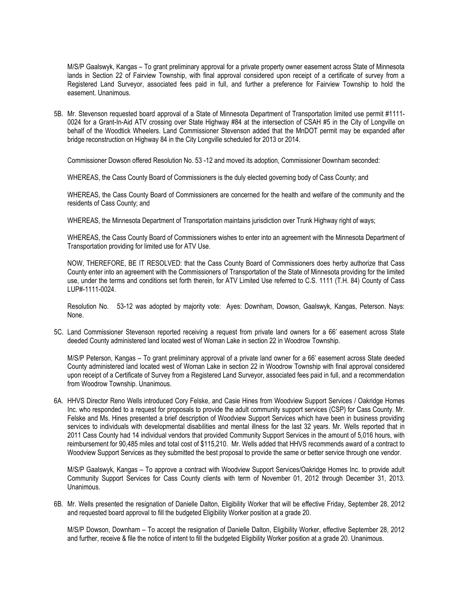M/S/P Gaalswyk, Kangas – To grant preliminary approval for a private property owner easement across State of Minnesota lands in Section 22 of Fairview Township, with final approval considered upon receipt of a certificate of survey from a Registered Land Surveyor, associated fees paid in full, and further a preference for Fairview Township to hold the easement. Unanimous.

5B. Mr. Stevenson requested board approval of a State of Minnesota Department of Transportation limited use permit #1111- 0024 for a Grant-In-Aid ATV crossing over State Highway #84 at the intersection of CSAH #5 in the City of Longville on behalf of the Woodtick Wheelers. Land Commissioner Stevenson added that the MnDOT permit may be expanded after bridge reconstruction on Highway 84 in the City Longville scheduled for 2013 or 2014.

Commissioner Dowson offered Resolution No. 53 -12 and moved its adoption, Commissioner Downham seconded:

WHEREAS, the Cass County Board of Commissioners is the duly elected governing body of Cass County; and

WHEREAS, the Cass County Board of Commissioners are concerned for the health and welfare of the community and the residents of Cass County; and

WHEREAS, the Minnesota Department of Transportation maintains jurisdiction over Trunk Highway right of ways;

WHEREAS, the Cass County Board of Commissioners wishes to enter into an agreement with the Minnesota Department of Transportation providing for limited use for ATV Use.

NOW, THEREFORE, BE IT RESOLVED: that the Cass County Board of Commissioners does herby authorize that Cass County enter into an agreement with the Commissioners of Transportation of the State of Minnesota providing for the limited use, under the terms and conditions set forth therein, for ATV Limited Use referred to C.S. 1111 (T.H. 84) County of Cass LUP#-1111-0024.

Resolution No. 53-12 was adopted by majority vote: Ayes: Downham, Dowson, Gaalswyk, Kangas, Peterson. Nays: None.

5C. Land Commissioner Stevenson reported receiving a request from private land owners for a 66' easement across State deeded County administered land located west of Woman Lake in section 22 in Woodrow Township.

M/S/P Peterson, Kangas – To grant preliminary approval of a private land owner for a 66' easement across State deeded County administered land located west of Woman Lake in section 22 in Woodrow Township with final approval considered upon receipt of a Certificate of Survey from a Registered Land Surveyor, associated fees paid in full, and a recommendation from Woodrow Township. Unanimous.

6A. HHVS Director Reno Wells introduced Cory Felske, and Casie Hines from Woodview Support Services / Oakridge Homes Inc. who responded to a request for proposals to provide the adult community support services (CSP) for Cass County. Mr. Felske and Ms. Hines presented a brief description of Woodview Support Services which have been in business providing services to individuals with developmental disabilities and mental illness for the last 32 years. Mr. Wells reported that in 2011 Cass County had 14 individual vendors that provided Community Support Services in the amount of 5,016 hours, with reimbursement for 90,485 miles and total cost of \$115,210. Mr. Wells added that HHVS recommends award of a contract to Woodview Support Services as they submitted the best proposal to provide the same or better service through one vendor.

M/S/P Gaalswyk, Kangas – To approve a contract with Woodview Support Services/Oakridge Homes Inc. to provide adult Community Support Services for Cass County clients with term of November 01, 2012 through December 31, 2013. Unanimous.

6B. Mr. Wells presented the resignation of Danielle Dalton, Eligibility Worker that will be effective Friday, September 28, 2012 and requested board approval to fill the budgeted Eligibility Worker position at a grade 20.

M/S/P Dowson, Downham – To accept the resignation of Danielle Dalton, Eligibility Worker, effective September 28, 2012 and further, receive & file the notice of intent to fill the budgeted Eligibility Worker position at a grade 20. Unanimous.